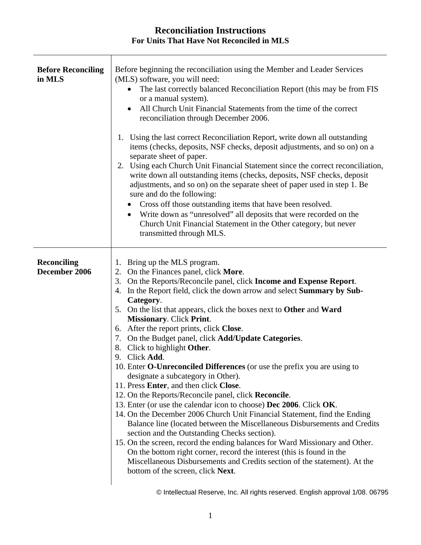## **Reconciliation Instructions For Units That Have Not Reconciled in MLS**

| <b>Before Reconciling</b><br>in MLS | Before beginning the reconciliation using the Member and Leader Services<br>(MLS) software, you will need:<br>The last correctly balanced Reconciliation Report (this may be from FIS<br>$\bullet$<br>or a manual system).<br>All Church Unit Financial Statements from the time of the correct<br>٠<br>reconciliation through December 2006.<br>Using the last correct Reconciliation Report, write down all outstanding<br>1.<br>items (checks, deposits, NSF checks, deposit adjustments, and so on) on a<br>separate sheet of paper.<br>Using each Church Unit Financial Statement since the correct reconciliation,<br>2.<br>write down all outstanding items (checks, deposits, NSF checks, deposit<br>adjustments, and so on) on the separate sheet of paper used in step 1. Be<br>sure and do the following:<br>Cross off those outstanding items that have been resolved.<br>$\bullet$<br>Write down as "unresolved" all deposits that were recorded on the<br>Church Unit Financial Statement in the Other category, but never<br>transmitted through MLS.                                                                                                                                                                                                                                         |
|-------------------------------------|--------------------------------------------------------------------------------------------------------------------------------------------------------------------------------------------------------------------------------------------------------------------------------------------------------------------------------------------------------------------------------------------------------------------------------------------------------------------------------------------------------------------------------------------------------------------------------------------------------------------------------------------------------------------------------------------------------------------------------------------------------------------------------------------------------------------------------------------------------------------------------------------------------------------------------------------------------------------------------------------------------------------------------------------------------------------------------------------------------------------------------------------------------------------------------------------------------------------------------------------------------------------------------------------------------------|
| <b>Reconciling</b><br>December 2006 | Bring up the MLS program.<br>1.<br>On the Finances panel, click More.<br>2.<br>On the Reports/Reconcile panel, click Income and Expense Report.<br>3.<br>In the Report field, click the down arrow and select <b>Summary by Sub-</b><br>4.<br>Category.<br>5. On the list that appears, click the boxes next to Other and Ward<br><b>Missionary. Click Print.</b><br>6. After the report prints, click Close.<br>7. On the Budget panel, click Add/Update Categories.<br>8. Click to highlight Other.<br>9. Click Add.<br>10. Enter <b>O-Unreconciled Differences</b> (or use the prefix you are using to<br>designate a subcategory in Other).<br>11. Press Enter, and then click Close.<br>12. On the Reports/Reconcile panel, click Reconcile.<br>13. Enter (or use the calendar icon to choose) Dec 2006. Click OK.<br>14. On the December 2006 Church Unit Financial Statement, find the Ending<br>Balance line (located between the Miscellaneous Disbursements and Credits<br>section and the Outstanding Checks section).<br>15. On the screen, record the ending balances for Ward Missionary and Other.<br>On the bottom right corner, record the interest (this is found in the<br>Miscellaneous Disbursements and Credits section of the statement). At the<br>bottom of the screen, click Next. |

© Intellectual Reserve, Inc. All rights reserved. English approval 1/08. 06795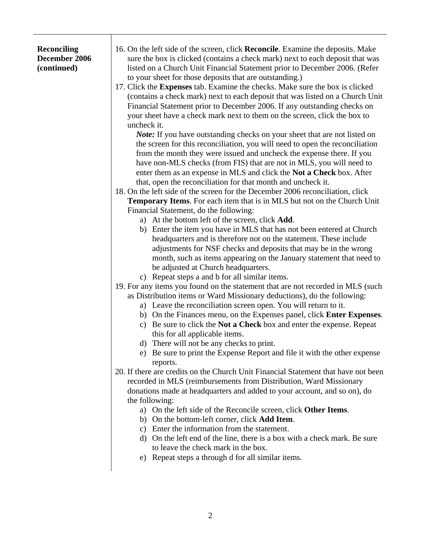| <b>Reconciling</b><br>December 2006<br>(continued) | 16. On the left side of the screen, click <b>Reconcile</b> . Examine the deposits. Make<br>sure the box is clicked (contains a check mark) next to each deposit that was<br>listed on a Church Unit Financial Statement prior to December 2006. (Refer<br>to your sheet for those deposits that are outstanding.)<br>17. Click the Expenses tab. Examine the checks. Make sure the box is clicked<br>(contains a check mark) next to each deposit that was listed on a Church Unit<br>Financial Statement prior to December 2006. If any outstanding checks on<br>your sheet have a check mark next to them on the screen, click the box to<br>uncheck it.<br><i>Note:</i> If you have outstanding checks on your sheet that are not listed on<br>the screen for this reconciliation, you will need to open the reconciliation<br>from the month they were issued and uncheck the expense there. If you |
|----------------------------------------------------|---------------------------------------------------------------------------------------------------------------------------------------------------------------------------------------------------------------------------------------------------------------------------------------------------------------------------------------------------------------------------------------------------------------------------------------------------------------------------------------------------------------------------------------------------------------------------------------------------------------------------------------------------------------------------------------------------------------------------------------------------------------------------------------------------------------------------------------------------------------------------------------------------------|
|                                                    | have non-MLS checks (from FIS) that are not in MLS, you will need to<br>enter them as an expense in MLS and click the <b>Not a Check</b> box. After<br>that, open the reconciliation for that month and uncheck it.<br>18. On the left side of the screen for the December 2006 reconciliation, click<br><b>Temporary Items.</b> For each item that is in MLS but not on the Church Unit                                                                                                                                                                                                                                                                                                                                                                                                                                                                                                                |
|                                                    | Financial Statement, do the following:                                                                                                                                                                                                                                                                                                                                                                                                                                                                                                                                                                                                                                                                                                                                                                                                                                                                  |
|                                                    | a) At the bottom left of the screen, click <b>Add</b> .                                                                                                                                                                                                                                                                                                                                                                                                                                                                                                                                                                                                                                                                                                                                                                                                                                                 |
|                                                    | b) Enter the item you have in MLS that has not been entered at Church<br>headquarters and is therefore not on the statement. These include<br>adjustments for NSF checks and deposits that may be in the wrong<br>month, such as items appearing on the January statement that need to<br>be adjusted at Church headquarters.                                                                                                                                                                                                                                                                                                                                                                                                                                                                                                                                                                           |
|                                                    | c) Repeat steps a and b for all similar items.<br>19. For any items you found on the statement that are not recorded in MLS (such<br>as Distribution items or Ward Missionary deductions), do the following:<br>a) Leave the reconciliation screen open. You will return to it.                                                                                                                                                                                                                                                                                                                                                                                                                                                                                                                                                                                                                         |
|                                                    | b) On the Finances menu, on the Expenses panel, click <b>Enter Expenses</b> .<br>c) Be sure to click the <b>Not a Check</b> box and enter the expense. Repeat<br>this for all applicable items.                                                                                                                                                                                                                                                                                                                                                                                                                                                                                                                                                                                                                                                                                                         |
|                                                    | d) There will not be any checks to print.<br>e) Be sure to print the Expense Report and file it with the other expense<br>reports.                                                                                                                                                                                                                                                                                                                                                                                                                                                                                                                                                                                                                                                                                                                                                                      |
|                                                    | 20. If there are credits on the Church Unit Financial Statement that have not been<br>recorded in MLS (reimbursements from Distribution, Ward Missionary<br>donations made at headquarters and added to your account, and so on), do<br>the following:                                                                                                                                                                                                                                                                                                                                                                                                                                                                                                                                                                                                                                                  |
|                                                    | a) On the left side of the Reconcile screen, click Other Items.                                                                                                                                                                                                                                                                                                                                                                                                                                                                                                                                                                                                                                                                                                                                                                                                                                         |
|                                                    | b) On the bottom-left corner, click Add Item.                                                                                                                                                                                                                                                                                                                                                                                                                                                                                                                                                                                                                                                                                                                                                                                                                                                           |
|                                                    | c) Enter the information from the statement.                                                                                                                                                                                                                                                                                                                                                                                                                                                                                                                                                                                                                                                                                                                                                                                                                                                            |
|                                                    | d) On the left end of the line, there is a box with a check mark. Be sure                                                                                                                                                                                                                                                                                                                                                                                                                                                                                                                                                                                                                                                                                                                                                                                                                               |
|                                                    | to leave the check mark in the box.                                                                                                                                                                                                                                                                                                                                                                                                                                                                                                                                                                                                                                                                                                                                                                                                                                                                     |
|                                                    | e) Repeat steps a through d for all similar items.                                                                                                                                                                                                                                                                                                                                                                                                                                                                                                                                                                                                                                                                                                                                                                                                                                                      |
|                                                    |                                                                                                                                                                                                                                                                                                                                                                                                                                                                                                                                                                                                                                                                                                                                                                                                                                                                                                         |
|                                                    |                                                                                                                                                                                                                                                                                                                                                                                                                                                                                                                                                                                                                                                                                                                                                                                                                                                                                                         |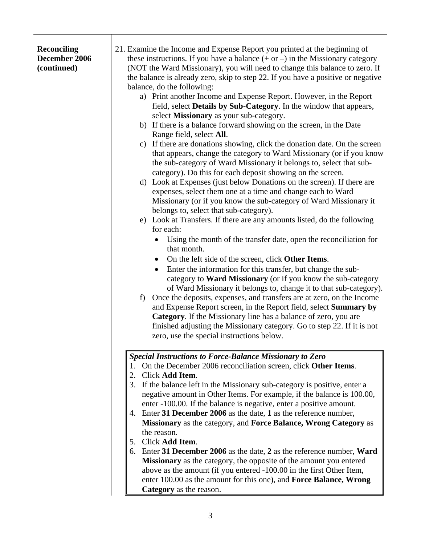| <b>Reconciling</b><br>December 2006<br>(continued) | 21. Examine the Income and Expense Report you printed at the beginning of<br>these instructions. If you have a balance $(+ or -)$ in the Missionary category<br>(NOT the Ward Missionary), you will need to change this balance to zero. If<br>the balance is already zero, skip to step 22. If you have a positive or negative<br>balance, do the following:<br>a) Print another Income and Expense Report. However, in the Report<br>field, select Details by Sub-Category. In the window that appears,<br>select Missionary as your sub-category.<br>b) If there is a balance forward showing on the screen, in the Date<br>Range field, select All.<br>c) If there are donations showing, click the donation date. On the screen<br>that appears, change the category to Ward Missionary (or if you know<br>the sub-category of Ward Missionary it belongs to, select that sub-<br>category). Do this for each deposit showing on the screen.<br>d) Look at Expenses (just below Donations on the screen). If there are<br>expenses, select them one at a time and change each to Ward<br>Missionary (or if you know the sub-category of Ward Missionary it<br>belongs to, select that sub-category).<br>e) Look at Transfers. If there are any amounts listed, do the following<br>for each:<br>Using the month of the transfer date, open the reconciliation for<br>$\bullet$<br>that month.<br>On the left side of the screen, click Other Items.<br>$\bullet$<br>Enter the information for this transfer, but change the sub-<br>$\bullet$<br>category to <b>Ward Missionary</b> (or if you know the sub-category<br>of Ward Missionary it belongs to, change it to that sub-category).<br>Once the deposits, expenses, and transfers are at zero, on the Income<br>f<br>and Expense Report screen, in the Report field, select Summary by<br>Category. If the Missionary line has a balance of zero, you are<br>finished adjusting the Missionary category. Go to step 22. If it is not<br>zero, use the special instructions below. |
|----------------------------------------------------|-----------------------------------------------------------------------------------------------------------------------------------------------------------------------------------------------------------------------------------------------------------------------------------------------------------------------------------------------------------------------------------------------------------------------------------------------------------------------------------------------------------------------------------------------------------------------------------------------------------------------------------------------------------------------------------------------------------------------------------------------------------------------------------------------------------------------------------------------------------------------------------------------------------------------------------------------------------------------------------------------------------------------------------------------------------------------------------------------------------------------------------------------------------------------------------------------------------------------------------------------------------------------------------------------------------------------------------------------------------------------------------------------------------------------------------------------------------------------------------------------------------------------------------------------------------------------------------------------------------------------------------------------------------------------------------------------------------------------------------------------------------------------------------------------------------------------------------------------------------------------------------------------------------------------------------------------------------------------------------------------------------------------------------------------|
|                                                    | <b>Special Instructions to Force-Balance Missionary to Zero</b><br>On the December 2006 reconciliation screen, click Other Items.<br>1.<br>2.<br>Click Add Item.<br>3. If the balance left in the Missionary sub-category is positive, enter a<br>negative amount in Other Items. For example, if the balance is 100.00,<br>enter -100.00. If the balance is negative, enter a positive amount.<br>4. Enter 31 December 2006 as the date, 1 as the reference number,<br>Missionary as the category, and Force Balance, Wrong Category as<br>the reason.<br>5. Click Add Item.<br>6. Enter 31 December 2006 as the date, 2 as the reference number, Ward<br><b>Missionary</b> as the category, the opposite of the amount you entered<br>above as the amount (if you entered -100.00 in the first Other Item,<br>enter 100.00 as the amount for this one), and Force Balance, Wrong<br>Category as the reason.                                                                                                                                                                                                                                                                                                                                                                                                                                                                                                                                                                                                                                                                                                                                                                                                                                                                                                                                                                                                                                                                                                                                 |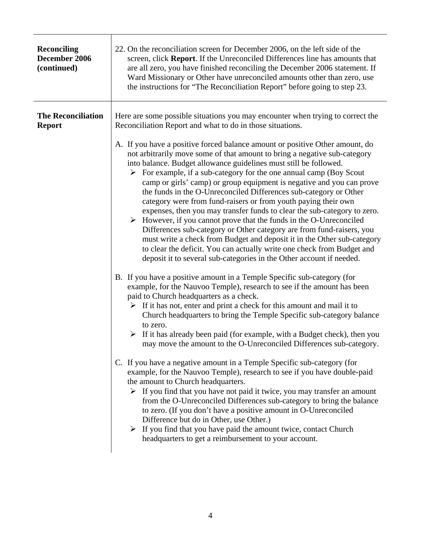| <b>Reconciling</b><br>December 2006<br>(continued) | 22. On the reconciliation screen for December 2006, on the left side of the<br>screen, click Report. If the Unreconciled Differences line has amounts that<br>are all zero, you have finished reconciling the December 2006 statement. If<br>Ward Missionary or Other have unreconciled amounts other than zero, use<br>the instructions for "The Reconciliation Report" before going to step 23.                                                                                                                                                                                                                                                                                                                                                                                                                                                                                                                                                                                                            |
|----------------------------------------------------|--------------------------------------------------------------------------------------------------------------------------------------------------------------------------------------------------------------------------------------------------------------------------------------------------------------------------------------------------------------------------------------------------------------------------------------------------------------------------------------------------------------------------------------------------------------------------------------------------------------------------------------------------------------------------------------------------------------------------------------------------------------------------------------------------------------------------------------------------------------------------------------------------------------------------------------------------------------------------------------------------------------|
| <b>The Reconciliation</b><br><b>Report</b>         | Here are some possible situations you may encounter when trying to correct the<br>Reconciliation Report and what to do in those situations.                                                                                                                                                                                                                                                                                                                                                                                                                                                                                                                                                                                                                                                                                                                                                                                                                                                                  |
|                                                    | A. If you have a positive forced balance amount or positive Other amount, do<br>not arbitrarily move some of that amount to bring a negative sub-category<br>into balance. Budget allowance guidelines must still be followed.<br>$\triangleright$ For example, if a sub-category for the one annual camp (Boy Scout<br>camp or girls' camp) or group equipment is negative and you can prove<br>the funds in the O-Unreconciled Differences sub-category or Other<br>category were from fund-raisers or from youth paying their own<br>expenses, then you may transfer funds to clear the sub-category to zero.<br>$\triangleright$ However, if you cannot prove that the funds in the O-Unreconciled<br>Differences sub-category or Other category are from fund-raisers, you<br>must write a check from Budget and deposit it in the Other sub-category<br>to clear the deficit. You can actually write one check from Budget and<br>deposit it to several sub-categories in the Other account if needed. |
|                                                    | B. If you have a positive amount in a Temple Specific sub-category (for<br>example, for the Nauvoo Temple), research to see if the amount has been<br>paid to Church headquarters as a check.<br>$\triangleright$ If it has not, enter and print a check for this amount and mail it to<br>Church headquarters to bring the Temple Specific sub-category balance<br>to zero.<br>$\triangleright$ If it has already been paid (for example, with a Budget check), then you<br>may move the amount to the O-Unreconciled Differences sub-category.                                                                                                                                                                                                                                                                                                                                                                                                                                                             |
|                                                    | C. If you have a negative amount in a Temple Specific sub-category (for<br>example, for the Nauvoo Temple), research to see if you have double-paid<br>the amount to Church headquarters.<br>$\triangleright$ If you find that you have not paid it twice, you may transfer an amount<br>from the O-Unreconciled Differences sub-category to bring the balance<br>to zero. (If you don't have a positive amount in O-Unreconciled<br>Difference but do in Other, use Other.)<br>$\triangleright$ If you find that you have paid the amount twice, contact Church<br>headquarters to get a reimbursement to your account.                                                                                                                                                                                                                                                                                                                                                                                     |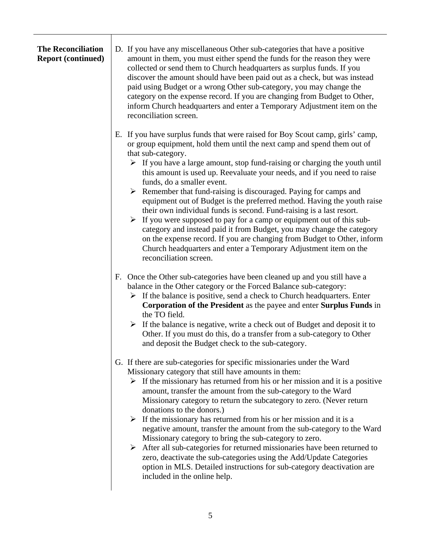| <b>The Reconciliation</b><br><b>Report (continued)</b> | D. If you have any miscellaneous Other sub-categories that have a positive<br>amount in them, you must either spend the funds for the reason they were<br>collected or send them to Church headquarters as surplus funds. If you<br>discover the amount should have been paid out as a check, but was instead<br>paid using Budget or a wrong Other sub-category, you may change the<br>category on the expense record. If you are changing from Budget to Other,<br>inform Church headquarters and enter a Temporary Adjustment item on the<br>reconciliation screen.                                                                                                                                                                                                                                                                                                                                                                                                           |
|--------------------------------------------------------|----------------------------------------------------------------------------------------------------------------------------------------------------------------------------------------------------------------------------------------------------------------------------------------------------------------------------------------------------------------------------------------------------------------------------------------------------------------------------------------------------------------------------------------------------------------------------------------------------------------------------------------------------------------------------------------------------------------------------------------------------------------------------------------------------------------------------------------------------------------------------------------------------------------------------------------------------------------------------------|
|                                                        | E. If you have surplus funds that were raised for Boy Scout camp, girls' camp,<br>or group equipment, hold them until the next camp and spend them out of<br>that sub-category.<br>$\triangleright$ If you have a large amount, stop fund-raising or charging the youth until<br>this amount is used up. Reevaluate your needs, and if you need to raise<br>funds, do a smaller event.<br>$\triangleright$ Remember that fund-raising is discouraged. Paying for camps and<br>equipment out of Budget is the preferred method. Having the youth raise<br>their own individual funds is second. Fund-raising is a last resort.<br>If you were supposed to pay for a camp or equipment out of this sub-<br>$\blacktriangleright$<br>category and instead paid it from Budget, you may change the category<br>on the expense record. If you are changing from Budget to Other, inform<br>Church headquarters and enter a Temporary Adjustment item on the<br>reconciliation screen. |
|                                                        | F. Once the Other sub-categories have been cleaned up and you still have a<br>balance in the Other category or the Forced Balance sub-category:<br>$\triangleright$ If the balance is positive, send a check to Church headquarters. Enter<br>Corporation of the President as the payee and enter Surplus Funds in<br>the TO field.<br>If the balance is negative, write a check out of Budget and deposit it to<br>➤<br>Other. If you must do this, do a transfer from a sub-category to Other<br>and deposit the Budget check to the sub-category.                                                                                                                                                                                                                                                                                                                                                                                                                             |
|                                                        | G. If there are sub-categories for specific missionaries under the Ward<br>Missionary category that still have amounts in them:<br>$\triangleright$ If the missionary has returned from his or her mission and it is a positive<br>amount, transfer the amount from the sub-category to the Ward<br>Missionary category to return the subcategory to zero. (Never return<br>donations to the donors.)<br>$\triangleright$ If the missionary has returned from his or her mission and it is a<br>negative amount, transfer the amount from the sub-category to the Ward<br>Missionary category to bring the sub-category to zero.<br>After all sub-categories for returned missionaries have been returned to<br>➤<br>zero, deactivate the sub-categories using the Add/Update Categories<br>option in MLS. Detailed instructions for sub-category deactivation are<br>included in the online help.                                                                               |